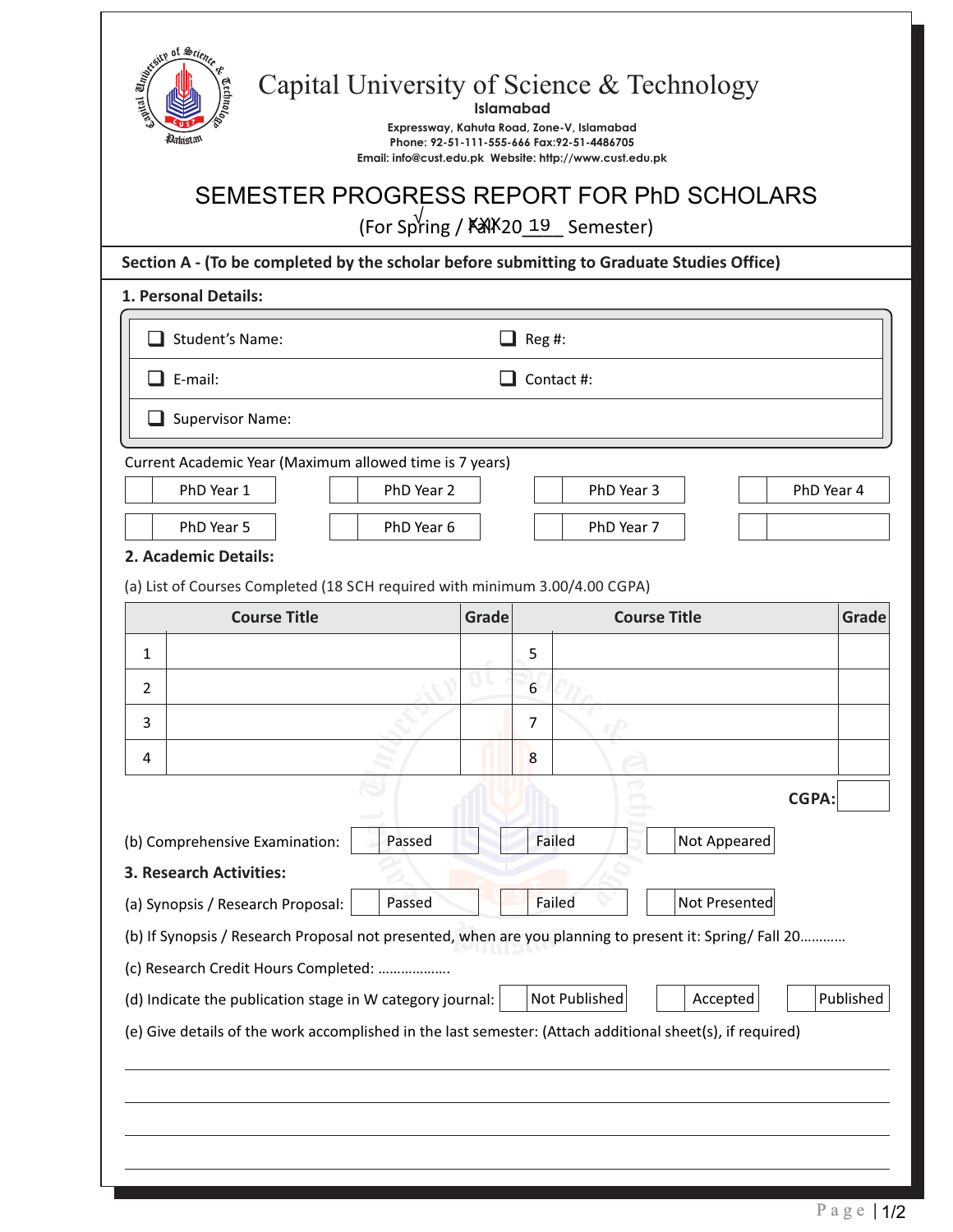| SEMESTER PROGRESS REPORT FOR PhD SCHOLARS<br>(For Spring / $K\lll 20$ 19 Semester)<br>Section A - (To be completed by the scholar before submitting to Graduate Studies Office)<br>1. Personal Details:<br><b>Student's Name:</b><br>$Reg#$ :<br>E-mail:<br>Contact #:<br><b>Supervisor Name:</b><br>Current Academic Year (Maximum allowed time is 7 years)<br>PhD Year 1<br>PhD Year 2<br>PhD Year 3<br>PhD Year 5<br>PhD Year 6<br>PhD Year 7<br>2. Academic Details:<br>(a) List of Courses Completed (18 SCH required with minimum 3.00/4.00 CGPA)<br><b>Course Title</b><br><b>Course Title</b><br>Grade<br>1<br>5<br>6<br>2 |            |
|------------------------------------------------------------------------------------------------------------------------------------------------------------------------------------------------------------------------------------------------------------------------------------------------------------------------------------------------------------------------------------------------------------------------------------------------------------------------------------------------------------------------------------------------------------------------------------------------------------------------------------|------------|
|                                                                                                                                                                                                                                                                                                                                                                                                                                                                                                                                                                                                                                    |            |
|                                                                                                                                                                                                                                                                                                                                                                                                                                                                                                                                                                                                                                    |            |
|                                                                                                                                                                                                                                                                                                                                                                                                                                                                                                                                                                                                                                    |            |
|                                                                                                                                                                                                                                                                                                                                                                                                                                                                                                                                                                                                                                    |            |
|                                                                                                                                                                                                                                                                                                                                                                                                                                                                                                                                                                                                                                    |            |
|                                                                                                                                                                                                                                                                                                                                                                                                                                                                                                                                                                                                                                    |            |
|                                                                                                                                                                                                                                                                                                                                                                                                                                                                                                                                                                                                                                    |            |
|                                                                                                                                                                                                                                                                                                                                                                                                                                                                                                                                                                                                                                    | PhD Year 4 |
|                                                                                                                                                                                                                                                                                                                                                                                                                                                                                                                                                                                                                                    |            |
|                                                                                                                                                                                                                                                                                                                                                                                                                                                                                                                                                                                                                                    |            |
|                                                                                                                                                                                                                                                                                                                                                                                                                                                                                                                                                                                                                                    | Grade      |
|                                                                                                                                                                                                                                                                                                                                                                                                                                                                                                                                                                                                                                    |            |
|                                                                                                                                                                                                                                                                                                                                                                                                                                                                                                                                                                                                                                    |            |
| 7<br>3                                                                                                                                                                                                                                                                                                                                                                                                                                                                                                                                                                                                                             |            |
| 4<br>8                                                                                                                                                                                                                                                                                                                                                                                                                                                                                                                                                                                                                             |            |
| <b>CGPA:</b>                                                                                                                                                                                                                                                                                                                                                                                                                                                                                                                                                                                                                       |            |
| Failed<br>Passed<br>Not Appeared<br>(b) Comprehensive Examination:<br>3. Research Activities:                                                                                                                                                                                                                                                                                                                                                                                                                                                                                                                                      |            |
| Failed<br>Not Presented<br>Passed<br>(a) Synopsis / Research Proposal:                                                                                                                                                                                                                                                                                                                                                                                                                                                                                                                                                             |            |
| (b) If Synopsis / Research Proposal not presented, when are you planning to present it: Spring/Fall 20                                                                                                                                                                                                                                                                                                                                                                                                                                                                                                                             |            |
| (c) Research Credit Hours Completed:                                                                                                                                                                                                                                                                                                                                                                                                                                                                                                                                                                                               |            |
| Not Published<br>Accepted<br>(d) Indicate the publication stage in W category journal:                                                                                                                                                                                                                                                                                                                                                                                                                                                                                                                                             | Published  |
| (e) Give details of the work accomplished in the last semester: (Attach additional sheet(s), if required)                                                                                                                                                                                                                                                                                                                                                                                                                                                                                                                          |            |
|                                                                                                                                                                                                                                                                                                                                                                                                                                                                                                                                                                                                                                    |            |
|                                                                                                                                                                                                                                                                                                                                                                                                                                                                                                                                                                                                                                    |            |
|                                                                                                                                                                                                                                                                                                                                                                                                                                                                                                                                                                                                                                    |            |
|                                                                                                                                                                                                                                                                                                                                                                                                                                                                                                                                                                                                                                    |            |